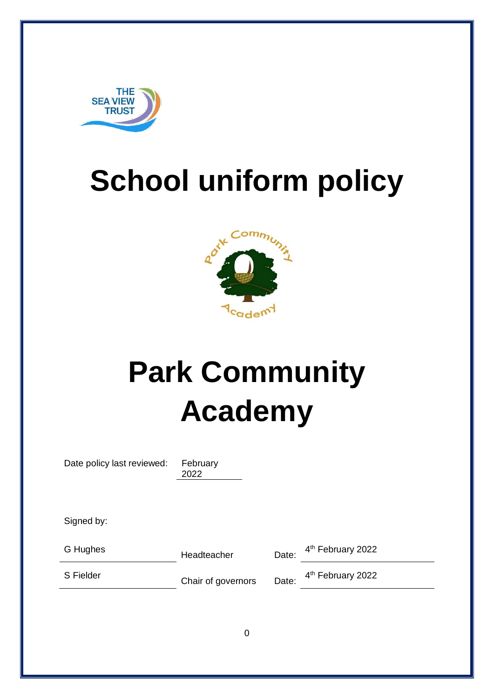

## **School uniform policy**



# **Park Community Academy**

Date policy last reviewed: February

2022

Signed by:

G Hughes **Headteacher** Date:

4<sup>th</sup> February 2022

S Fielder **Chair of governors** Date:

4<sup>th</sup> February 2022

0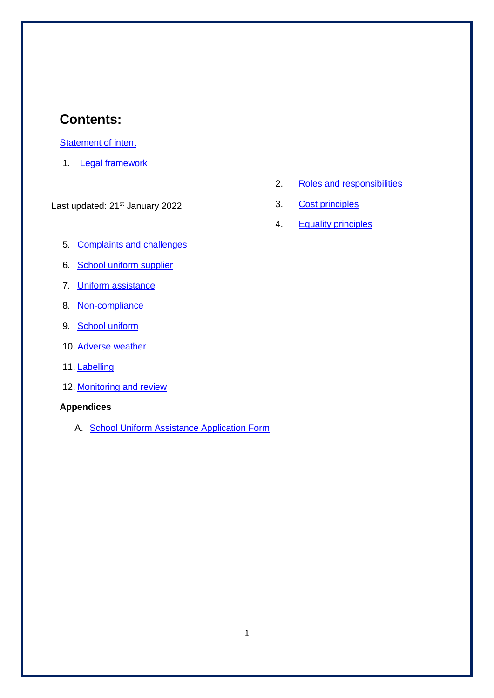## **Contents:**

#### **Statement of intent**

1. [Legal framework](#page-3-0)

Last updated: 21<sup>st</sup> January 2022

- 5. [Complaints and challenges](#page-6-0)
- 6. School uniform supplier
- 7. [Uniform assistance](#page-7-0)
- 8. [Non-compliance](#page-7-1)
- 9. [School uniform](#page-7-2)
- 10. [Adverse weather](#page-10-0)
- 11. [Labelling](#page-10-1)
- 12. [Monitoring and review](#page-10-2)

#### **Appendices**

A. School Uniform Assistance Application Form

- 2. [Roles and responsibilities](#page-3-1)
- 3. [Cost principles](#page-4-0)
- 4. [Equality principles](#page-5-0)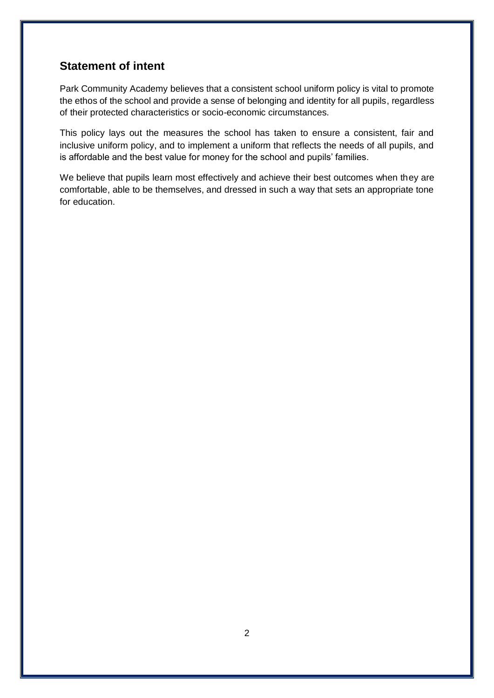## **Statement of intent**

Park Community Academy believes that a consistent school uniform policy is vital to promote the ethos of the school and provide a sense of belonging and identity for all pupils, regardless of their protected characteristics or socio-economic circumstances.

This policy lays out the measures the school has taken to ensure a consistent, fair and inclusive uniform policy, and to implement a uniform that reflects the needs of all pupils, and is affordable and the best value for money for the school and pupils' families.

We believe that pupils learn most effectively and achieve their best outcomes when they are comfortable, able to be themselves, and dressed in such a way that sets an appropriate tone for education.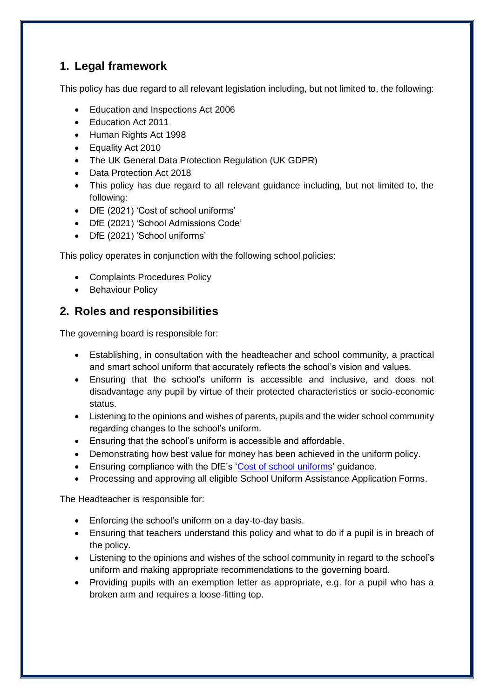## <span id="page-3-0"></span>**1. Legal framework**

This policy has due regard to all relevant legislation including, but not limited to, the following:

- Education and Inspections Act 2006
- Education Act 2011
- Human Rights Act 1998
- Equality Act 2010
- The UK General Data Protection Regulation (UK GDPR)
- Data Protection Act 2018
- This policy has due regard to all relevant guidance including, but not limited to, the following:
- DfE (2021) 'Cost of school uniforms'
- DfE (2021) 'School Admissions Code'
- DfE (2021) 'School uniforms'

This policy operates in conjunction with the following school policies:

- Complaints Procedures Policy
- Behaviour Policy

## <span id="page-3-1"></span>**2. Roles and responsibilities**

The governing board is responsible for:

- Establishing, in consultation with the headteacher and school community, a practical and smart school uniform that accurately reflects the school's vision and values.
- Ensuring that the school's uniform is accessible and inclusive, and does not disadvantage any pupil by virtue of their protected characteristics or socio-economic status.
- Listening to the opinions and wishes of parents, pupils and the wider school community regarding changes to the school's uniform.
- Ensuring that the school's uniform is accessible and affordable.
- Demonstrating how best value for money has been achieved in the uniform policy.
- Ensuring compliance with the DfE's ['Cost of school uniforms'](about:blank) guidance.
- Processing and approving all eligible School Uniform Assistance Application Forms.

The Headteacher is responsible for:

- Enforcing the school's uniform on a day-to-day basis.
- Ensuring that teachers understand this policy and what to do if a pupil is in breach of the policy.
- Listening to the opinions and wishes of the school community in regard to the school's uniform and making appropriate recommendations to the governing board.
- Providing pupils with an exemption letter as appropriate, e.g. for a pupil who has a broken arm and requires a loose-fitting top.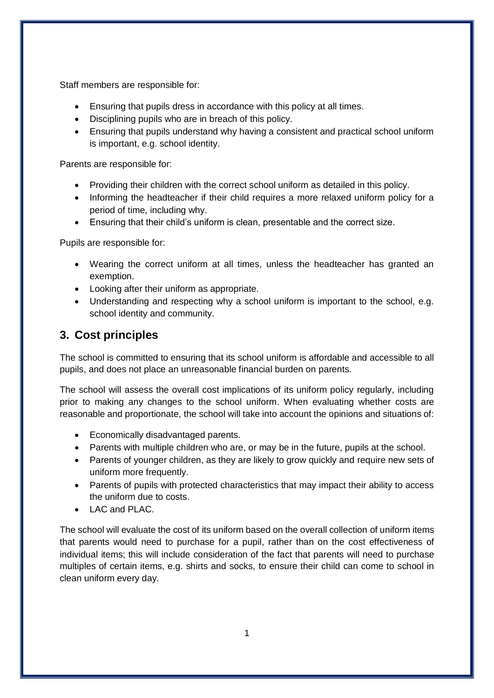Staff members are responsible for:

- Ensuring that pupils dress in accordance with this policy at all times.
- Disciplining pupils who are in breach of this policy.
- Ensuring that pupils understand why having a consistent and practical school uniform is important, e.g. school identity.

Parents are responsible for:

- Providing their children with the correct school uniform as detailed in this policy.
- Informing the headteacher if their child requires a more relaxed uniform policy for a period of time, including why.
- Ensuring that their child's uniform is clean, presentable and the correct size.

Pupils are responsible for:

- Wearing the correct uniform at all times, unless the headteacher has granted an exemption.
- Looking after their uniform as appropriate.
- Understanding and respecting why a school uniform is important to the school, e.g. school identity and community.

## <span id="page-4-0"></span>**3. Cost principles**

The school is committed to ensuring that its school uniform is affordable and accessible to all pupils, and does not place an unreasonable financial burden on parents.

The school will assess the overall cost implications of its uniform policy regularly, including prior to making any changes to the school uniform. When evaluating whether costs are reasonable and proportionate, the school will take into account the opinions and situations of:

- Economically disadvantaged parents.
- Parents with multiple children who are, or may be in the future, pupils at the school.
- Parents of younger children, as they are likely to grow quickly and require new sets of uniform more frequently.
- Parents of pupils with protected characteristics that may impact their ability to access the uniform due to costs.
- $\bullet$  LAC and PLAC.

The school will evaluate the cost of its uniform based on the overall collection of uniform items that parents would need to purchase for a pupil, rather than on the cost effectiveness of individual items; this will include consideration of the fact that parents will need to purchase multiples of certain items, e.g. shirts and socks, to ensure their child can come to school in clean uniform every day.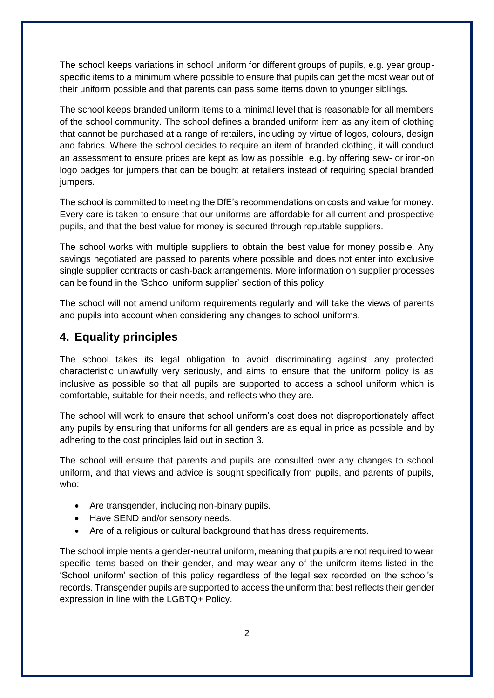The school keeps variations in school uniform for different groups of pupils, e.g. year groupspecific items to a minimum where possible to ensure that pupils can get the most wear out of their uniform possible and that parents can pass some items down to younger siblings.

The school keeps branded uniform items to a minimal level that is reasonable for all members of the school community. The school defines a branded uniform item as any item of clothing that cannot be purchased at a range of retailers, including by virtue of logos, colours, design and fabrics. Where the school decides to require an item of branded clothing, it will conduct an assessment to ensure prices are kept as low as possible, e.g. by offering sew- or iron-on logo badges for jumpers that can be bought at retailers instead of requiring special branded jumpers.

The school is committed to meeting the DfE's recommendations on costs and value for money. Every care is taken to ensure that our uniforms are affordable for all current and prospective pupils, and that the best value for money is secured through reputable suppliers.

The school works with multiple suppliers to obtain the best value for money possible. Any savings negotiated are passed to parents where possible and does not enter into exclusive single supplier contracts or cash-back arrangements. More information on supplier processes can be found in the 'School uniform supplier' section of this policy.

The school will not amend uniform requirements regularly and will take the views of parents and pupils into account when considering any changes to school uniforms.

#### <span id="page-5-0"></span>**4. Equality principles**

The school takes its legal obligation to avoid discriminating against any protected characteristic unlawfully very seriously, and aims to ensure that the uniform policy is as inclusive as possible so that all pupils are supported to access a school uniform which is comfortable, suitable for their needs, and reflects who they are.

The school will work to ensure that school uniform's cost does not disproportionately affect any pupils by ensuring that uniforms for all genders are as equal in price as possible and by adhering to the cost principles laid out in section 3.

The school will ensure that parents and pupils are consulted over any changes to school uniform, and that views and advice is sought specifically from pupils, and parents of pupils, who:

- Are transgender, including non-binary pupils.
- Have SEND and/or sensory needs.
- Are of a religious or cultural background that has dress requirements.

The school implements a gender-neutral uniform, meaning that pupils are not required to wear specific items based on their gender, and may wear any of the uniform items listed in the 'School uniform' section of this policy regardless of the legal sex recorded on the school's records. Transgender pupils are supported to access the uniform that best reflects their gender expression in line with the LGBTQ+ Policy.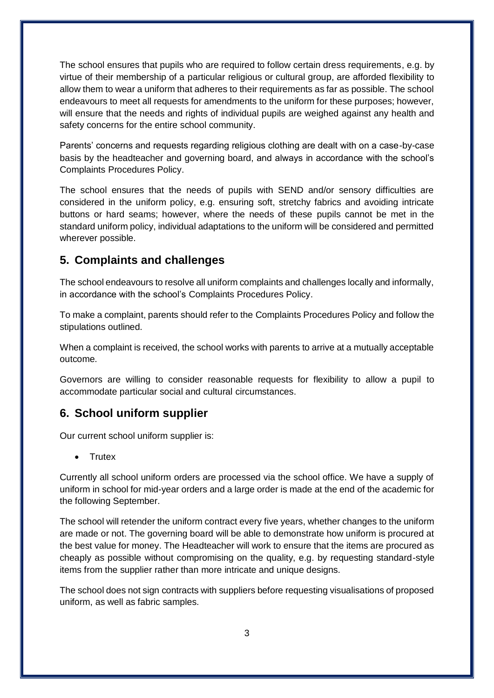The school ensures that pupils who are required to follow certain dress requirements, e.g. by virtue of their membership of a particular religious or cultural group, are afforded flexibility to allow them to wear a uniform that adheres to their requirements as far as possible. The school endeavours to meet all requests for amendments to the uniform for these purposes; however, will ensure that the needs and rights of individual pupils are weighed against any health and safety concerns for the entire school community.

Parents' concerns and requests regarding religious clothing are dealt with on a case-by-case basis by the headteacher and governing board, and always in accordance with the school's Complaints Procedures Policy.

The school ensures that the needs of pupils with SEND and/or sensory difficulties are considered in the uniform policy, e.g. ensuring soft, stretchy fabrics and avoiding intricate buttons or hard seams; however, where the needs of these pupils cannot be met in the standard uniform policy, individual adaptations to the uniform will be considered and permitted wherever possible.

### <span id="page-6-0"></span>**5. Complaints and challenges**

The school endeavours to resolve all uniform complaints and challenges locally and informally, in accordance with the school's Complaints Procedures Policy.

To make a complaint, parents should refer to the Complaints Procedures Policy and follow the stipulations outlined.

When a complaint is received, the school works with parents to arrive at a mutually acceptable outcome.

Governors are willing to consider reasonable requests for flexibility to allow a pupil to accommodate particular social and cultural circumstances.

#### **6. School uniform supplier**

Our current school uniform supplier is:

• Trutex

Currently all school uniform orders are processed via the school office. We have a supply of uniform in school for mid-year orders and a large order is made at the end of the academic for the following September.

The school will retender the uniform contract every five years, whether changes to the uniform are made or not. The governing board will be able to demonstrate how uniform is procured at the best value for money. The Headteacher will work to ensure that the items are procured as cheaply as possible without compromising on the quality, e.g. by requesting standard-style items from the supplier rather than more intricate and unique designs.

The school does not sign contracts with suppliers before requesting visualisations of proposed uniform, as well as fabric samples.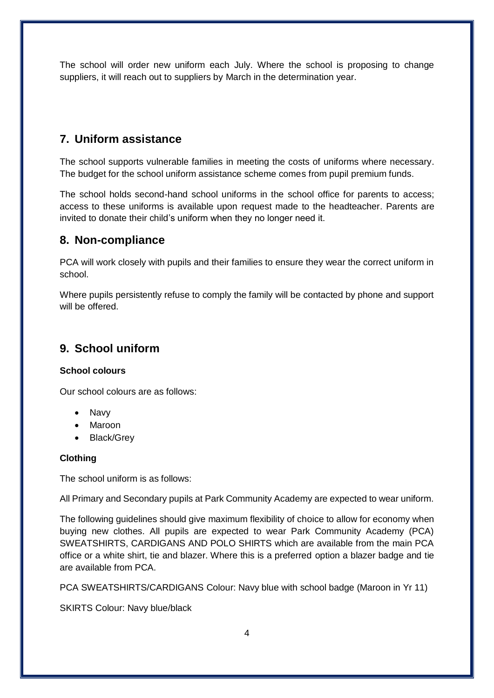The school will order new uniform each July. Where the school is proposing to change suppliers, it will reach out to suppliers by March in the determination year.

## <span id="page-7-0"></span>**7. Uniform assistance**

The school supports vulnerable families in meeting the costs of uniforms where necessary. The budget for the school uniform assistance scheme comes from pupil premium funds.

The school holds second-hand school uniforms in the school office for parents to access; access to these uniforms is available upon request made to the headteacher. Parents are invited to donate their child's uniform when they no longer need it.

### <span id="page-7-1"></span>**8. Non-compliance**

PCA will work closely with pupils and their families to ensure they wear the correct uniform in school.

Where pupils persistently refuse to comply the family will be contacted by phone and support will be offered.

## <span id="page-7-2"></span>**9. School uniform**

#### **School colours**

Our school colours are as follows:

- Navy
- Maroon
- Black/Grev

#### **Clothing**

The school uniform is as follows:

All Primary and Secondary pupils at Park Community Academy are expected to wear uniform.

The following guidelines should give maximum flexibility of choice to allow for economy when buying new clothes. All pupils are expected to wear Park Community Academy (PCA) SWEATSHIRTS, CARDIGANS AND POLO SHIRTS which are available from the main PCA office or a white shirt, tie and blazer. Where this is a preferred option a blazer badge and tie are available from PCA.

PCA SWEATSHIRTS/CARDIGANS Colour: Navy blue with school badge (Maroon in Yr 11)

SKIRTS Colour: Navy blue/black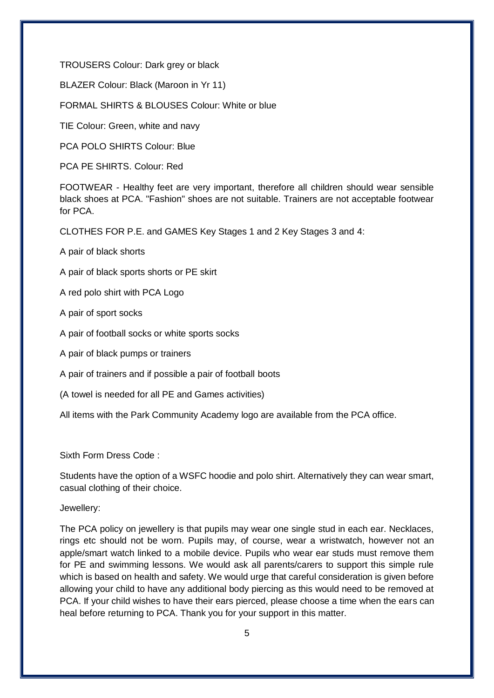TROUSERS Colour: Dark grey or black

BLAZER Colour: Black (Maroon in Yr 11)

FORMAL SHIRTS & BLOUSES Colour: White or blue

TIE Colour: Green, white and navy

PCA POLO SHIRTS Colour: Blue

PCA PE SHIRTS. Colour: Red

FOOTWEAR - Healthy feet are very important, therefore all children should wear sensible black shoes at PCA. "Fashion" shoes are not suitable. Trainers are not acceptable footwear for PCA.

CLOTHES FOR P.E. and GAMES Key Stages 1 and 2 Key Stages 3 and 4:

A pair of black shorts

A pair of black sports shorts or PE skirt

A red polo shirt with PCA Logo

A pair of sport socks

A pair of football socks or white sports socks

A pair of black pumps or trainers

A pair of trainers and if possible a pair of football boots

(A towel is needed for all PE and Games activities)

All items with the Park Community Academy logo are available from the PCA office.

Sixth Form Dress Code :

Students have the option of a WSFC hoodie and polo shirt. Alternatively they can wear smart, casual clothing of their choice.

Jewellery:

The PCA policy on jewellery is that pupils may wear one single stud in each ear. Necklaces, rings etc should not be worn. Pupils may, of course, wear a wristwatch, however not an apple/smart watch linked to a mobile device. Pupils who wear ear studs must remove them for PE and swimming lessons. We would ask all parents/carers to support this simple rule which is based on health and safety. We would urge that careful consideration is given before allowing your child to have any additional body piercing as this would need to be removed at PCA. If your child wishes to have their ears pierced, please choose a time when the ears can heal before returning to PCA. Thank you for your support in this matter.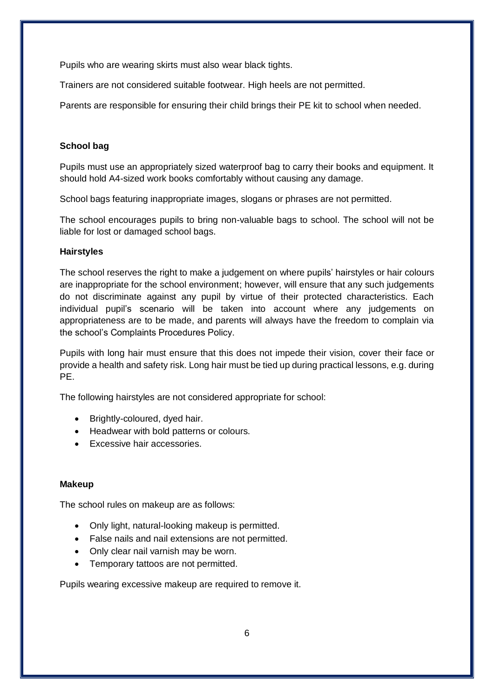Pupils who are wearing skirts must also wear black tights.

Trainers are not considered suitable footwear. High heels are not permitted.

Parents are responsible for ensuring their child brings their PE kit to school when needed.

#### **School bag**

Pupils must use an appropriately sized waterproof bag to carry their books and equipment. It should hold A4-sized work books comfortably without causing any damage.

School bags featuring inappropriate images, slogans or phrases are not permitted.

The school encourages pupils to bring non-valuable bags to school. The school will not be liable for lost or damaged school bags.

#### **Hairstyles**

The school reserves the right to make a judgement on where pupils' hairstyles or hair colours are inappropriate for the school environment; however, will ensure that any such judgements do not discriminate against any pupil by virtue of their protected characteristics. Each individual pupil's scenario will be taken into account where any judgements on appropriateness are to be made, and parents will always have the freedom to complain via the school's Complaints Procedures Policy.

Pupils with long hair must ensure that this does not impede their vision, cover their face or provide a health and safety risk. Long hair must be tied up during practical lessons, e.g. during PE.

The following hairstyles are not considered appropriate for school:

- Brightly-coloured, dyed hair.
- Headwear with bold patterns or colours.
- **Excessive hair accessories.**

#### **Makeup**

The school rules on makeup are as follows:

- Only light, natural-looking makeup is permitted.
- False nails and nail extensions are not permitted.
- Only clear nail varnish may be worn.
- Temporary tattoos are not permitted.

Pupils wearing excessive makeup are required to remove it.